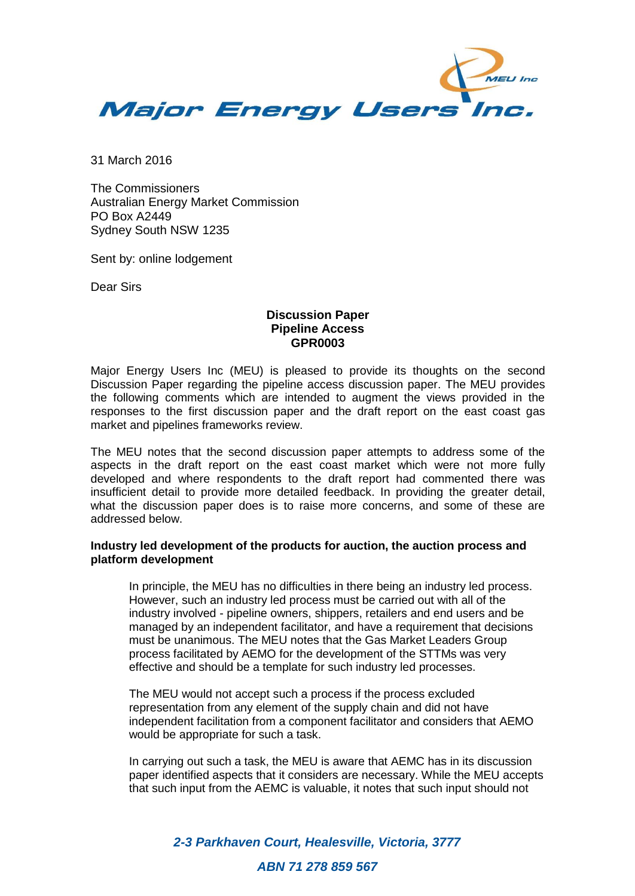

31 March 2016

The Commissioners Australian Energy Market Commission PO Box A2449 Sydney South NSW 1235

Sent by: online lodgement

Dear Sirs

## **Discussion Paper Pipeline Access GPR0003**

Major Energy Users Inc (MEU) is pleased to provide its thoughts on the second Discussion Paper regarding the pipeline access discussion paper. The MEU provides the following comments which are intended to augment the views provided in the responses to the first discussion paper and the draft report on the east coast gas market and pipelines frameworks review.

The MEU notes that the second discussion paper attempts to address some of the aspects in the draft report on the east coast market which were not more fully developed and where respondents to the draft report had commented there was insufficient detail to provide more detailed feedback. In providing the greater detail, what the discussion paper does is to raise more concerns, and some of these are addressed below.

## **Industry led development of the products for auction, the auction process and platform development**

In principle, the MEU has no difficulties in there being an industry led process. However, such an industry led process must be carried out with all of the industry involved - pipeline owners, shippers, retailers and end users and be managed by an independent facilitator, and have a requirement that decisions must be unanimous. The MEU notes that the Gas Market Leaders Group process facilitated by AEMO for the development of the STTMs was very effective and should be a template for such industry led processes.

The MEU would not accept such a process if the process excluded representation from any element of the supply chain and did not have independent facilitation from a component facilitator and considers that AEMO would be appropriate for such a task.

In carrying out such a task, the MEU is aware that AEMC has in its discussion paper identified aspects that it considers are necessary. While the MEU accepts that such input from the AEMC is valuable, it notes that such input should not

> *2-3 Parkhaven Court, Healesville, Victoria, 3777 ABN 71 278 859 567*